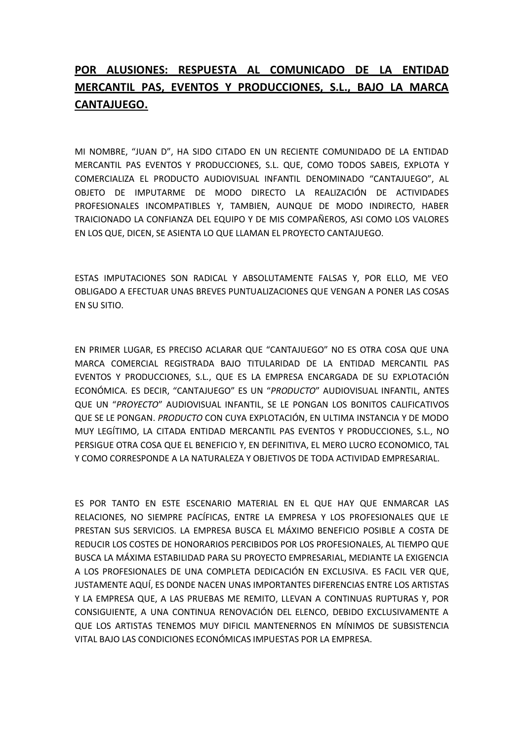## **POR ALUSIONES: RESPUESTA AL COMUNICADO DE LA ENTIDAD MERCANTIL PAS, EVENTOS Y PRODUCCIONES, S.L., BAJO LA MARCA CANTAJUEGO.**

MI NOMBRE, "JUAN D", HA SIDO CITADO EN UN RECIENTE COMUNIDADO DE LA ENTIDAD MERCANTIL PAS EVENTOS Y PRODUCCIONES, S.L. QUE, COMO TODOS SABEIS, EXPLOTA Y COMERCIALIZA EL PRODUCTO AUDIOVISUAL INFANTIL DENOMINADO "CANTAJUEGO", AL OBJETO DE IMPUTARME DE MODO DIRECTO LA REALIZACIÓN DE ACTIVIDADES PROFESIONALES INCOMPATIBLES Y, TAMBIEN, AUNQUE DE MODO INDIRECTO, HABER TRAICIONADO LA CONFIANZA DEL EQUIPO Y DE MIS COMPAÑEROS, ASI COMO LOS VALORES EN LOS QUE, DICEN, SE ASIENTA LO QUE LLAMAN EL PROYECTO CANTAJUEGO.

ESTAS IMPUTACIONES SON RADICAL Y ABSOLUTAMENTE FALSAS Y, POR ELLO, ME VEO OBLIGADO A EFECTUAR UNAS BREVES PUNTUALIZACIONES QUE VENGAN A PONER LAS COSAS EN SU SITIO.

EN PRIMER LUGAR, ES PRECISO ACLARAR QUE "CANTAJUEGO" NO ES OTRA COSA QUE UNA MARCA COMERCIAL REGISTRADA BAJO TITULARIDAD DE LA ENTIDAD MERCANTIL PAS EVENTOS Y PRODUCCIONES, S.L., QUE ES LA EMPRESA ENCARGADA DE SU EXPLOTACIÓN ECONÓMICA. ES DECIR, "CANTAJUEGO" ES UN "*PRODUCTO*" AUDIOVISUAL INFANTIL, ANTES QUE UN "*PROYECTO*" AUDIOVISUAL INFANTIL, SE LE PONGAN LOS BONITOS CALIFICATIVOS QUE SE LE PONGAN. *PRODUCTO* CON CUYA EXPLOTACIÓN, EN ULTIMA INSTANCIA Y DE MODO MUY LEGÍTIMO, LA CITADA ENTIDAD MERCANTIL PAS EVENTOS Y PRODUCCIONES, S.L., NO PERSIGUE OTRA COSA QUE EL BENEFICIO Y, EN DEFINITIVA, EL MERO LUCRO ECONOMICO, TAL Y COMO CORRESPONDE A LA NATURALEZA Y OBJETIVOS DE TODA ACTIVIDAD EMPRESARIAL.

ES POR TANTO EN ESTE ESCENARIO MATERIAL EN EL QUE HAY QUE ENMARCAR LAS RELACIONES, NO SIEMPRE PACÍFICAS, ENTRE LA EMPRESA Y LOS PROFESIONALES QUE LE PRESTAN SUS SERVICIOS. LA EMPRESA BUSCA EL MÁXIMO BENEFICIO POSIBLE A COSTA DE REDUCIR LOS COSTES DE HONORARIOS PERCIBIDOS POR LOS PROFESIONALES, AL TIEMPO QUE BUSCA LA MÁXIMA ESTABILIDAD PARA SU PROYECTO EMPRESARIAL, MEDIANTE LA EXIGENCIA A LOS PROFESIONALES DE UNA COMPLETA DEDICACIÓN EN EXCLUSIVA. ES FACIL VER QUE, JUSTAMENTE AQUÍ, ES DONDE NACEN UNAS IMPORTANTES DIFERENCIAS ENTRE LOS ARTISTAS Y LA EMPRESA QUE, A LAS PRUEBAS ME REMITO, LLEVAN A CONTINUAS RUPTURAS Y, POR CONSIGUIENTE, A UNA CONTINUA RENOVACIÓN DEL ELENCO, DEBIDO EXCLUSIVAMENTE A QUE LOS ARTISTAS TENEMOS MUY DIFICIL MANTENERNOS EN MÍNIMOS DE SUBSISTENCIA VITAL BAJO LAS CONDICIONES ECONÓMICAS IMPUESTAS POR LA EMPRESA.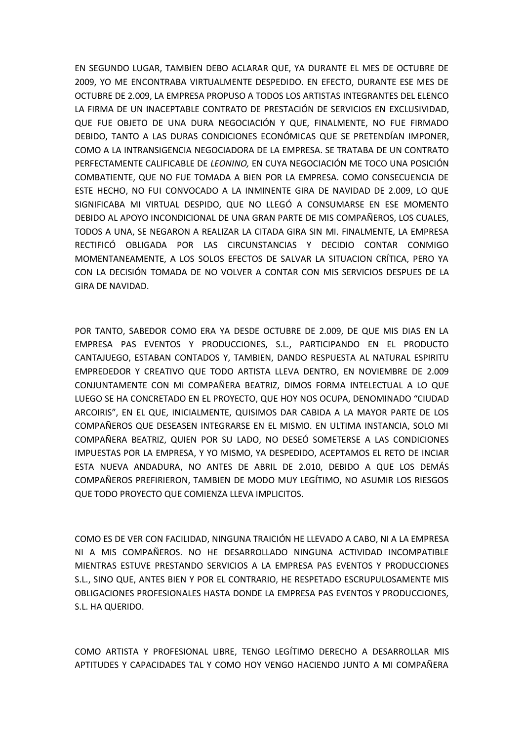EN SEGUNDO LUGAR, TAMBIEN DEBO ACLARAR QUE, YA DURANTE EL MES DE OCTUBRE DE 2009, YO ME ENCONTRABA VIRTUALMENTE DESPEDIDO. EN EFECTO, DURANTE ESE MES DE OCTUBRE DE 2.009, LA EMPRESA PROPUSO A TODOS LOS ARTISTAS INTEGRANTES DEL ELENCO LA FIRMA DE UN INACEPTABLE CONTRATO DE PRESTACIÓN DE SERVICIOS EN EXCLUSIVIDAD, QUE FUE OBJETO DE UNA DURA NEGOCIACIÓN Y QUE, FINALMENTE, NO FUE FIRMADO DEBIDO, TANTO A LAS DURAS CONDICIONES ECONÓMICAS QUE SE PRETENDÍAN IMPONER, COMO A LA INTRANSIGENCIA NEGOCIADORA DE LA EMPRESA. SE TRATABA DE UN CONTRATO PERFECTAMENTE CALIFICABLE DE *LEONINO,* EN CUYA NEGOCIACIÓN ME TOCO UNA POSICIÓN COMBATIENTE, QUE NO FUE TOMADA A BIEN POR LA EMPRESA. COMO CONSECUENCIA DE ESTE HECHO, NO FUI CONVOCADO A LA INMINENTE GIRA DE NAVIDAD DE 2.009, LO QUE SIGNIFICABA MI VIRTUAL DESPIDO, QUE NO LLEGÓ A CONSUMARSE EN ESE MOMENTO DEBIDO AL APOYO INCONDICIONAL DE UNA GRAN PARTE DE MIS COMPAÑEROS, LOS CUALES, TODOS A UNA, SE NEGARON A REALIZAR LA CITADA GIRA SIN MI. FINALMENTE, LA EMPRESA RECTIFICÓ OBLIGADA POR LAS CIRCUNSTANCIAS Y DECIDIO CONTAR CONMIGO MOMENTANEAMENTE, A LOS SOLOS EFECTOS DE SALVAR LA SITUACION CRÍTICA, PERO YA CON LA DECISIÓN TOMADA DE NO VOLVER A CONTAR CON MIS SERVICIOS DESPUES DE LA GIRA DE NAVIDAD.

POR TANTO, SABEDOR COMO ERA YA DESDE OCTUBRE DE 2.009, DE QUE MIS DIAS EN LA EMPRESA PAS EVENTOS Y PRODUCCIONES, S.L., PARTICIPANDO EN EL PRODUCTO CANTAJUEGO, ESTABAN CONTADOS Y, TAMBIEN, DANDO RESPUESTA AL NATURAL ESPIRITU EMPREDEDOR Y CREATIVO QUE TODO ARTISTA LLEVA DENTRO, EN NOVIEMBRE DE 2.009 CONJUNTAMENTE CON MI COMPAÑERA BEATRIZ, DIMOS FORMA INTELECTUAL A LO QUE LUEGO SE HA CONCRETADO EN EL PROYECTO, QUE HOY NOS OCUPA, DENOMINADO "CIUDAD ARCOIRIS", EN EL QUE, INICIALMENTE, QUISIMOS DAR CABIDA A LA MAYOR PARTE DE LOS COMPAÑEROS QUE DESEASEN INTEGRARSE EN EL MISMO. EN ULTIMA INSTANCIA, SOLO MI COMPAÑERA BEATRIZ, QUIEN POR SU LADO, NO DESEÓ SOMETERSE A LAS CONDICIONES IMPUESTAS POR LA EMPRESA, Y YO MISMO, YA DESPEDIDO, ACEPTAMOS EL RETO DE INCIAR ESTA NUEVA ANDADURA, NO ANTES DE ABRIL DE 2.010, DEBIDO A QUE LOS DEMÁS COMPAÑEROS PREFIRIERON, TAMBIEN DE MODO MUY LEGÍTIMO, NO ASUMIR LOS RIESGOS QUE TODO PROYECTO QUE COMIENZA LLEVA IMPLICITOS.

COMO ES DE VER CON FACILIDAD, NINGUNA TRAICIÓN HE LLEVADO A CABO, NI A LA EMPRESA NI A MIS COMPAÑEROS. NO HE DESARROLLADO NINGUNA ACTIVIDAD INCOMPATIBLE MIENTRAS ESTUVE PRESTANDO SERVICIOS A LA EMPRESA PAS EVENTOS Y PRODUCCIONES S.L., SINO QUE, ANTES BIEN Y POR EL CONTRARIO, HE RESPETADO ESCRUPULOSAMENTE MIS OBLIGACIONES PROFESIONALES HASTA DONDE LA EMPRESA PAS EVENTOS Y PRODUCCIONES, S.L. HA QUERIDO.

COMO ARTISTA Y PROFESIONAL LIBRE, TENGO LEGÍTIMO DERECHO A DESARROLLAR MIS APTITUDES Y CAPACIDADES TAL Y COMO HOY VENGO HACIENDO JUNTO A MI COMPAÑERA